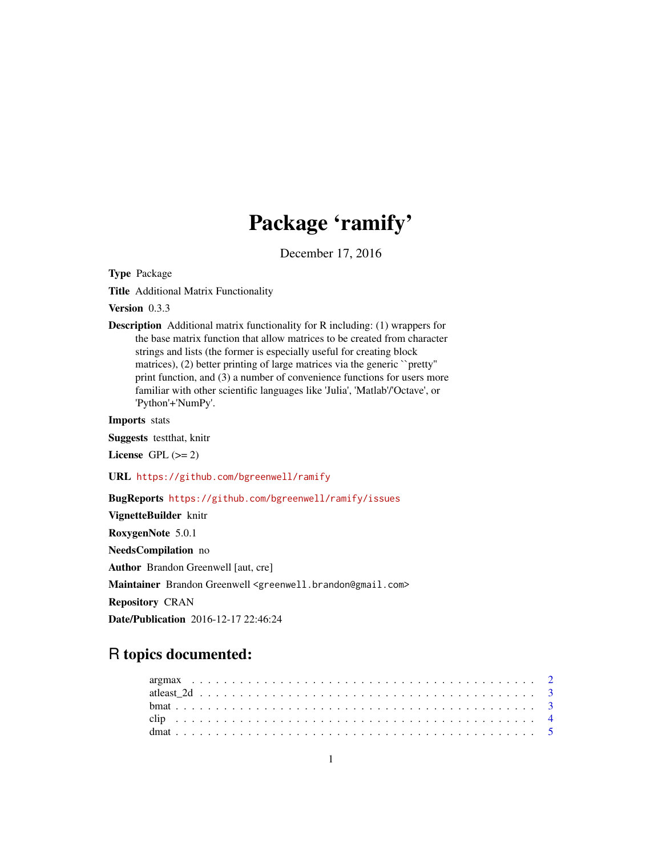# Package 'ramify'

December 17, 2016

<span id="page-0-0"></span>Type Package

Title Additional Matrix Functionality

Version 0.3.3

Description Additional matrix functionality for R including: (1) wrappers for the base matrix function that allow matrices to be created from character strings and lists (the former is especially useful for creating block matrices), (2) better printing of large matrices via the generic "pretty" print function, and (3) a number of convenience functions for users more familiar with other scientific languages like 'Julia', 'Matlab'/'Octave', or 'Python'+'NumPy'.

Imports stats

Suggests testthat, knitr

License GPL  $(>= 2)$ 

URL <https://github.com/bgreenwell/ramify>

# BugReports <https://github.com/bgreenwell/ramify/issues>

VignetteBuilder knitr RoxygenNote 5.0.1 NeedsCompilation no Author Brandon Greenwell [aut, cre] Maintainer Brandon Greenwell <greenwell.brandon@gmail.com> Repository CRAN Date/Publication 2016-12-17 22:46:24

# R topics documented: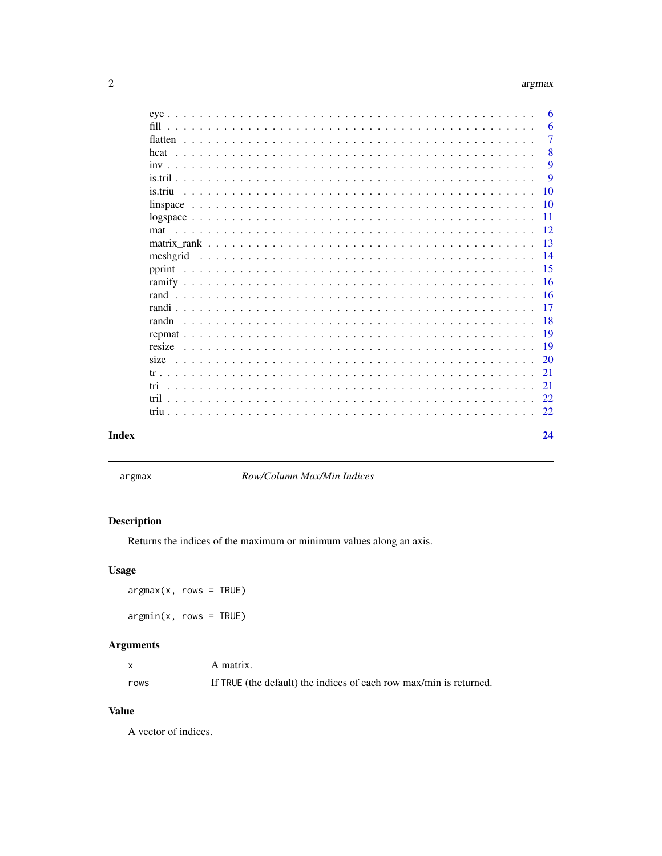# argmax

<span id="page-1-0"></span>

|          | 6           |
|----------|-------------|
| fill     | 6           |
|          | $\tau$      |
| hcat     | 8           |
|          | 9           |
|          | $\mathbf Q$ |
| is triu  | 10          |
|          | 10          |
|          | -11         |
| mat      | 12          |
|          | 13          |
| mesherid | 14          |
|          | 15          |
|          | 16          |
|          | 16          |
|          | 17          |
|          | 18          |
|          |             |
|          | 19          |
|          | 19          |
|          | 20          |
|          | 21          |
| tri      | 21          |
|          | 22.         |
|          | 22          |
|          |             |
|          | 24          |

# **Index**

argmax

Row/Column Max/Min Indices

# **Description**

Returns the indices of the maximum or minimum values along an axis.

# **Usage**

 $argmax(x, rows = TRUE)$  $argmin(x, rows = TRUE)$ 

# **Arguments**

|      | A matrix.                                                          |
|------|--------------------------------------------------------------------|
| rows | If TRUE (the default) the indices of each row max/min is returned. |

#### **Value**

A vector of indices.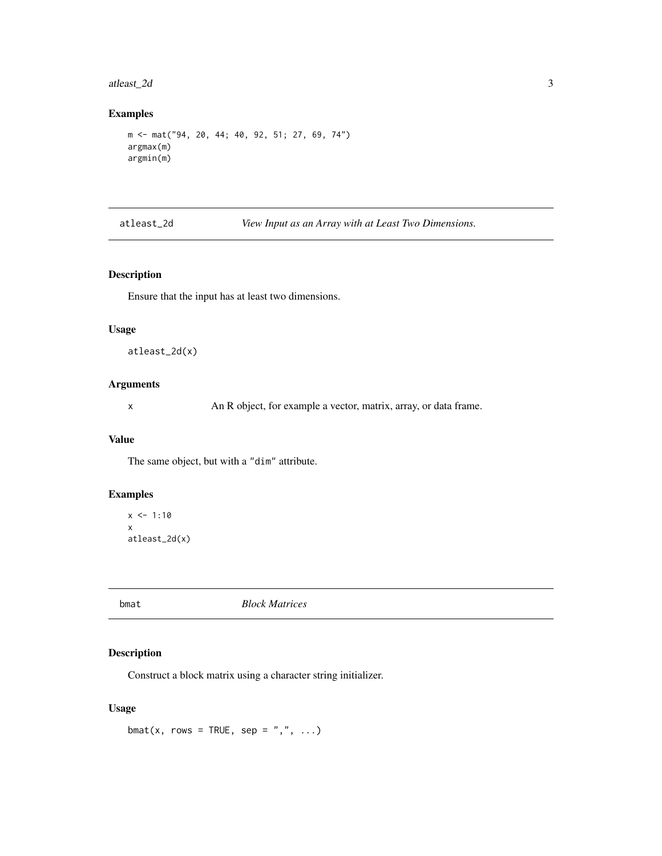# <span id="page-2-0"></span>atleast\_2d 3

#### Examples

```
m <- mat("94, 20, 44; 40, 92, 51; 27, 69, 74")
argmax(m)
argmin(m)
```
atleast\_2d *View Input as an Array with at Least Two Dimensions.*

#### Description

Ensure that the input has at least two dimensions.

#### Usage

atleast\_2d(x)

#### Arguments

x An R object, for example a vector, matrix, array, or data frame.

#### Value

The same object, but with a "dim" attribute.

#### Examples

 $x \le -1:10$ x atleast\_2d(x)

<span id="page-2-1"></span>

bmat *Block Matrices*

# Description

Construct a block matrix using a character string initializer.

#### Usage

bmat(x, rows = TRUE, sep = ",", ...)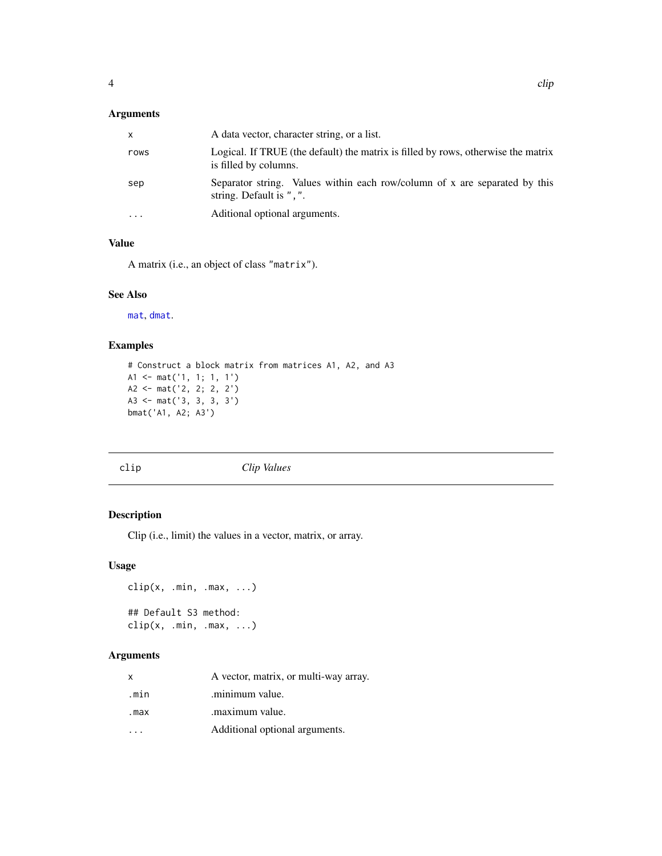# <span id="page-3-0"></span>Arguments

| $\mathsf{x}$ | A data vector, character string, or a list.                                                                |
|--------------|------------------------------------------------------------------------------------------------------------|
| rows         | Logical. If TRUE (the default) the matrix is filled by rows, otherwise the matrix<br>is filled by columns. |
| sep          | Separator string. Values within each row/column of x are separated by this<br>string. Default is ", ".     |
| $\cdot$      | Aditional optional arguments.                                                                              |

# Value

A matrix (i.e., an object of class "matrix").

#### See Also

[mat](#page-11-1), [dmat](#page-4-1).

# Examples

```
# Construct a block matrix from matrices A1, A2, and A3
A1 <- mat('1, 1; 1, 1')
A2 <- mat('2, 2; 2, 2')
A3 <- mat('3, 3, 3, 3')
bmat('A1, A2; A3')
```
clip *Clip Values*

# Description

Clip (i.e., limit) the values in a vector, matrix, or array.

#### Usage

```
clip(x, .min, .max, ...)
## Default S3 method:
clip(x, min, max, ...)
```

| X    | A vector, matrix, or multi-way array. |
|------|---------------------------------------|
| .min | .minimum value.                       |
| .max | .maximum value.                       |
|      | Additional optional arguments.        |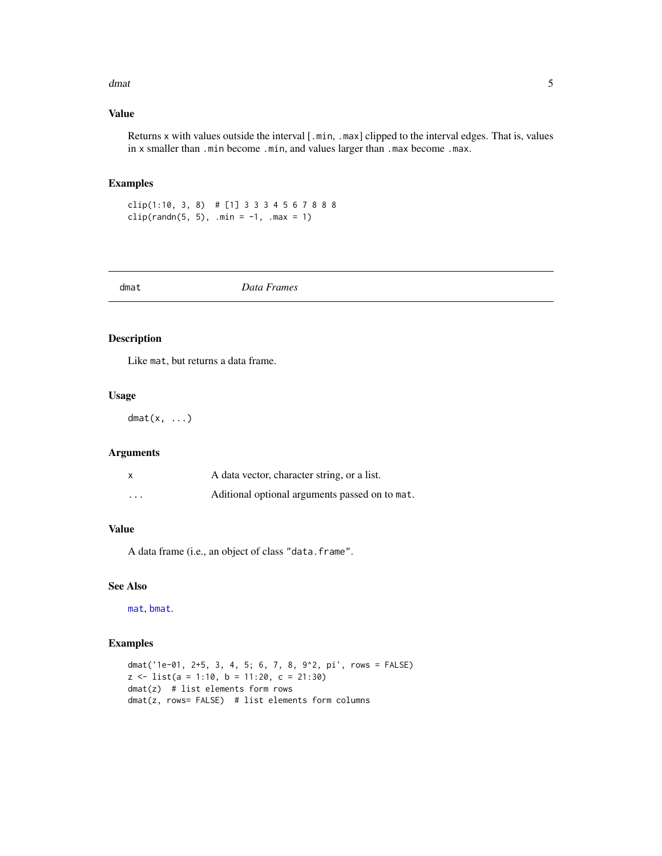#### <span id="page-4-0"></span>dmat 5 and 5 and 5 and 5 and 5 and 5 and 5 and 5 and 5 and 5 and 5 and 5 and 5 and 5 and 5 and 5 and 5 and 5 and 5 and 5 and 5 and 5 and 5 and 5 and 5 and 5 and 5 and 5 and 5 and 5 and 5 and 5 and 5 and 5 and 5 and 5 and 5

# Value

Returns x with values outside the interval [.min, .max] clipped to the interval edges. That is, values in x smaller than .min become .min, and values larger than .max become .max.

# Examples

clip(1:10, 3, 8) # [1] 3 3 3 4 5 6 7 8 8 8 clip(randn(5, 5), .min =  $-1$ , .max = 1)

<span id="page-4-1"></span>dmat *Data Frames*

# Description

Like mat, but returns a data frame.

#### Usage

 $dmat(x, \ldots)$ 

#### Arguments

|                         | A data vector, character string, or a list.    |
|-------------------------|------------------------------------------------|
| $\cdot$ $\cdot$ $\cdot$ | Aditional optional arguments passed on to mat. |

# Value

A data frame (i.e., an object of class "data.frame".

#### See Also

[mat](#page-11-1), [bmat](#page-2-1).

```
dmat('1e-01, 2+5, 3, 4, 5; 6, 7, 8, 9^2, pi', rows = FALSE)
z \le - list(a = 1:10, b = 11:20, c = 21:30)
dmat(z) # list elements form rows
dmat(z, rows= FALSE) # list elements form columns
```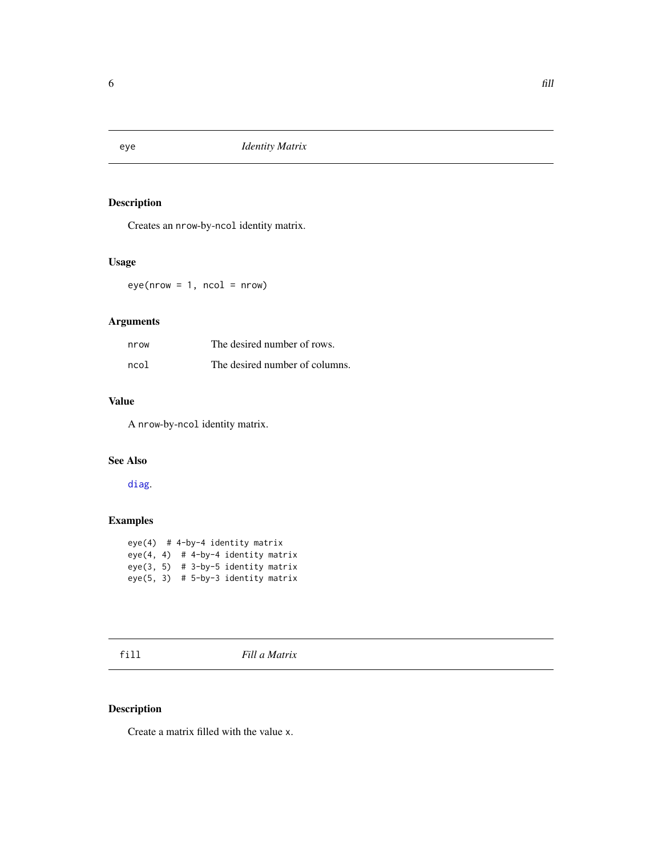<span id="page-5-0"></span>

Creates an nrow-by-ncol identity matrix.

# Usage

 $eye(nrow = 1, ncol = nrow)$ 

# Arguments

| nrow | The desired number of rows.    |
|------|--------------------------------|
| ncol | The desired number of columns. |

# Value

A nrow-by-ncol identity matrix.

# See Also

[diag](#page-0-0).

# Examples

```
eye(4) # 4-by-4 identity matrix
eye(4, 4) # 4-by-4 identity matrix
eye(3, 5) # 3-by-5 identity matrix
eye(5, 3) # 5-by-3 identity matrix
```
fill *Fill a Matrix*

# <span id="page-5-1"></span>Description

Create a matrix filled with the value x.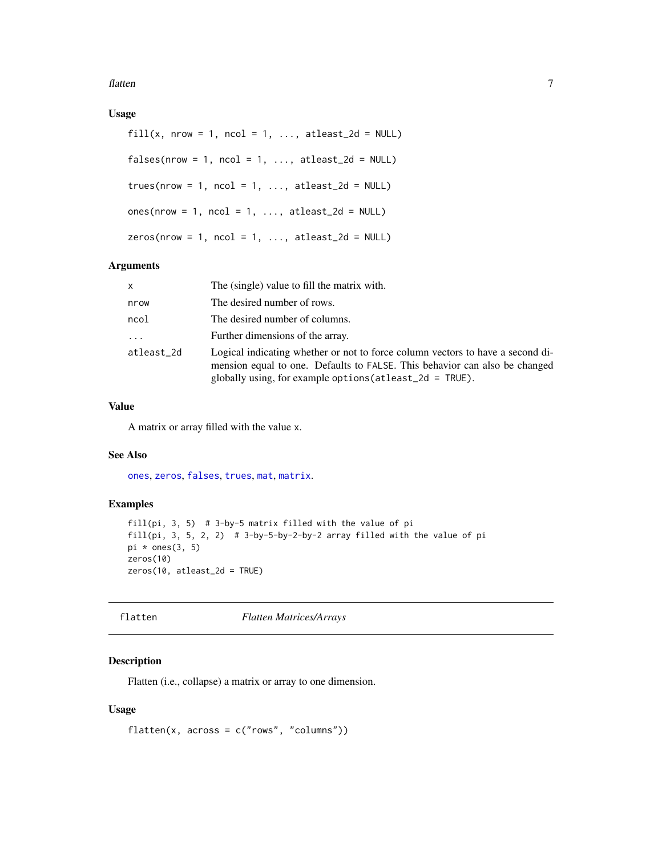<span id="page-6-0"></span>flatten 3000 met 1000 met 1000 met 1000 met 1000 met 1000 met 1000 met 1000 met 1000 met 1000 met 1000 met 100

# Usage

```
fill(x, nrow = 1, ncol = 1, ..., atleast_2d = NULL)falses(nrow = 1, ncol = 1, ..., atleast_2d = NULL)trues(nrow = 1, ncol = 1, ..., atleast_2d = NULL)ones(nrow = 1, ncol = 1, ..., atleast_2d = NULL)
zeros(nrow = 1, ncol = 1, ..., atleast_2d = NULL)
```
#### Arguments

| x          | The (single) value to fill the matrix with.                                                                                                                                                                                  |
|------------|------------------------------------------------------------------------------------------------------------------------------------------------------------------------------------------------------------------------------|
| nrow       | The desired number of rows.                                                                                                                                                                                                  |
| ncol       | The desired number of columns.                                                                                                                                                                                               |
| $\cdots$   | Further dimensions of the array.                                                                                                                                                                                             |
| atleast 2d | Logical indicating whether or not to force column vectors to have a second di-<br>mension equal to one. Defaults to FALSE. This behavior can also be changed<br>globally using, for example options (at least_2d = $TRUE$ ). |

#### Value

A matrix or array filled with the value x.

#### See Also

[ones](#page-5-1), [zeros](#page-5-1), [falses](#page-5-1), [trues](#page-5-1), [mat](#page-11-1), [matrix](#page-0-0).

#### Examples

```
fill(pi, 3, 5) # 3-by-5 matrix filled with the value of pi
fill(pi, 3, 5, 2, 2) # 3-by-5-by-2-by-2 array filled with the value of pi
pi * ones(3, 5)
zeros(10)
zeros(10, atleast_2d = TRUE)
```
<span id="page-6-1"></span>flatten *Flatten Matrices/Arrays*

#### Description

Flatten (i.e., collapse) a matrix or array to one dimension.

#### Usage

```
flatten(x, across = c("rows", "columns"))
```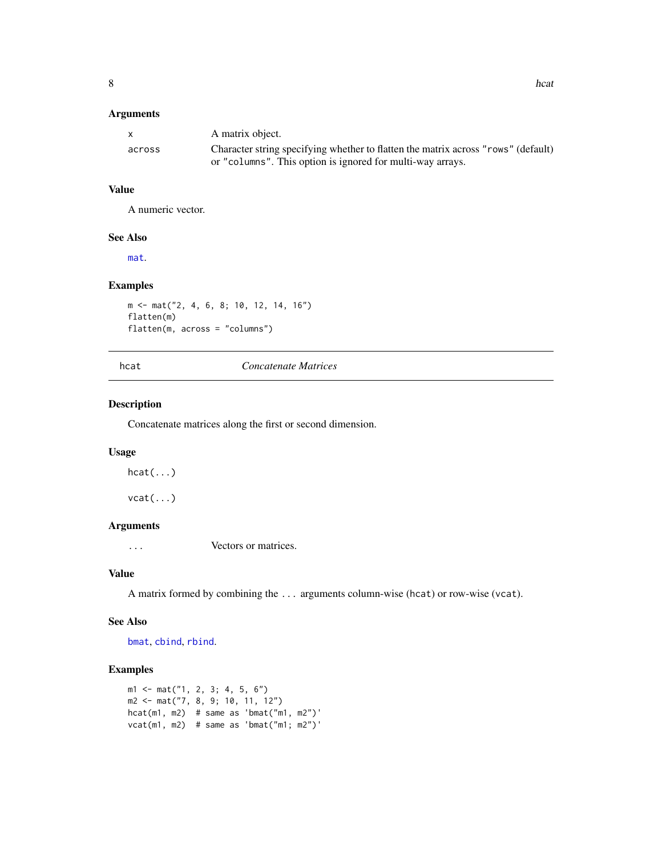#### <span id="page-7-0"></span>Arguments

|        | A matrix object.                                                                  |
|--------|-----------------------------------------------------------------------------------|
| across | Character string specifying whether to flatten the matrix across "rows" (default) |
|        | or "columns". This option is ignored for multi-way arrays.                        |

#### Value

A numeric vector.

# See Also

[mat](#page-11-1).

# Examples

```
m <- mat("2, 4, 6, 8; 10, 12, 14, 16")
flatten(m)
flatten(m, across = "columns")
```
#### hcat *Concatenate Matrices*

# Description

Concatenate matrices along the first or second dimension.

#### Usage

 $hcat(...)$ 

vcat(...)

# Arguments

... Vectors or matrices.

#### Value

A matrix formed by combining the ... arguments column-wise (hcat) or row-wise (vcat).

#### See Also

[bmat](#page-2-1), [cbind](#page-0-0), [rbind](#page-0-0).

```
m1 <- mat("1, 2, 3; 4, 5, 6")
m2 <- mat("7, 8, 9; 10, 11, 12")
hcat(m1, m2) # same as 'bmat("m1, m2")'
vcat(m1, m2) # same as 'bmat("m1; m2")'
```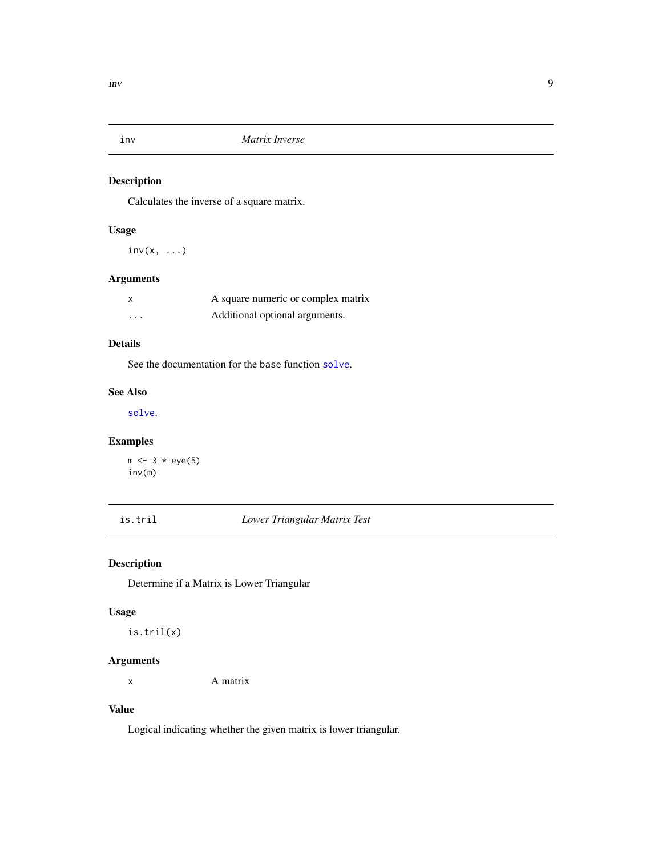<span id="page-8-0"></span>

Calculates the inverse of a square matrix.

# Usage

 $inv(x, \ldots)$ 

# Arguments

| X        | A square numeric or complex matrix |
|----------|------------------------------------|
| $\cdots$ | Additional optional arguments.     |

# Details

See the documentation for the base function [solve](#page-0-0).

# See Also

[solve](#page-0-0).

# Examples

 $m \le -3 * eye(5)$ inv(m)

is.tril *Lower Triangular Matrix Test*

# Description

Determine if a Matrix is Lower Triangular

# Usage

is.tril(x)

# Arguments

x A matrix

# Value

Logical indicating whether the given matrix is lower triangular.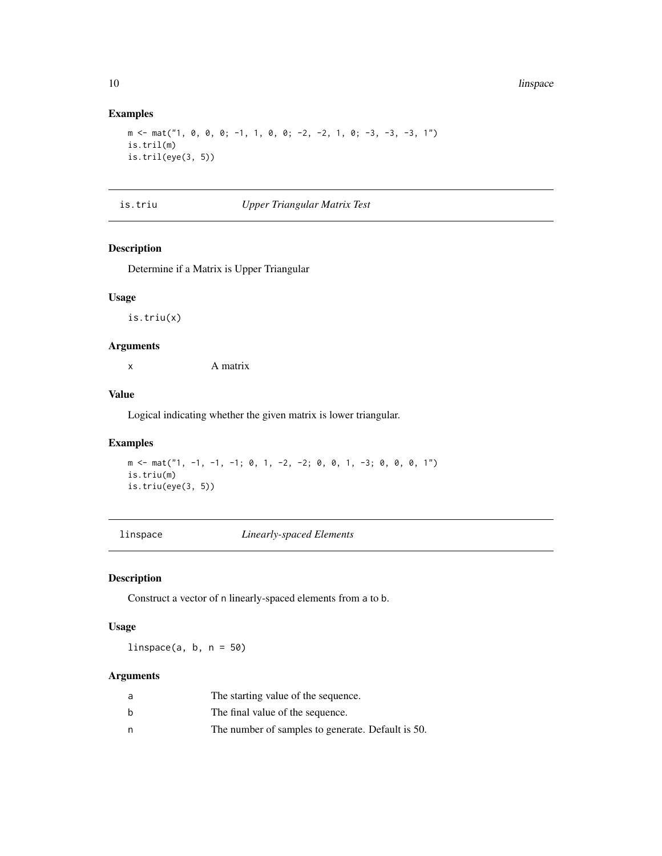#### Examples

```
m \le m mat("1, 0, 0, 0; -1, 1, 0, 0; -2, -2, 1, 0; -3, -3, -3, 1")
is.tril(m)
is.tril(eye(3, 5))
```
#### is.triu *Upper Triangular Matrix Test*

# Description

Determine if a Matrix is Upper Triangular

# Usage

is.triu(x)

#### Arguments

x A matrix

#### Value

Logical indicating whether the given matrix is lower triangular.

#### Examples

```
m <- mat("1, -1, -1, -1; 0, 1, -2, -2; 0, 0, 1, -3; 0, 0, 0, 1")
is.triu(m)
is.triu(eye(3, 5))
```
<span id="page-9-1"></span>linspace *Linearly-spaced Elements*

# Description

Construct a vector of n linearly-spaced elements from a to b.

#### Usage

 $linspace(a, b, n = 50)$ 

| a | The starting value of the sequence.               |
|---|---------------------------------------------------|
| b | The final value of the sequence.                  |
| n | The number of samples to generate. Default is 50. |

<span id="page-9-0"></span>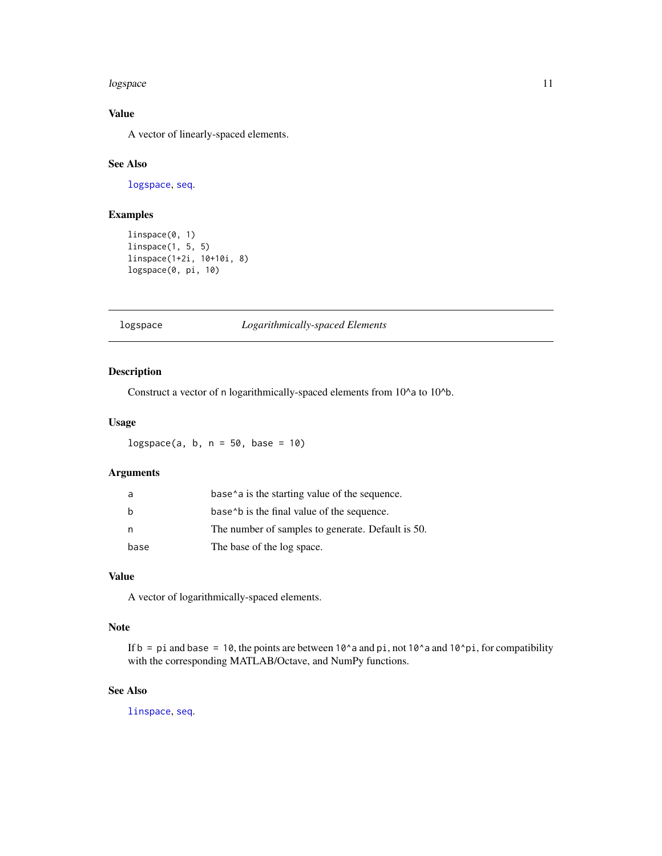#### <span id="page-10-0"></span>logspace and the contract of the contract of the contract of the contract of the contract of the contract of the contract of the contract of the contract of the contract of the contract of the contract of the contract of t

# Value

A vector of linearly-spaced elements.

# See Also

[logspace](#page-10-1), [seq](#page-0-0).

# Examples

```
linspace(0, 1)
linspace(1, 5, 5)
linspace(1+2i, 10+10i, 8)
logspace(0, pi, 10)
```
#### <span id="page-10-1"></span>logspace *Logarithmically-spaced Elements*

# Description

Construct a vector of n logarithmically-spaced elements from 10^a to 10^b.

#### Usage

 $logspace(a, b, n = 50, base = 10)$ 

# Arguments

|      | base <sup><math>\lambda</math></sup> a is the starting value of the sequence. |
|------|-------------------------------------------------------------------------------|
| h    | base b is the final value of the sequence.                                    |
| n    | The number of samples to generate. Default is 50.                             |
| base | The base of the log space.                                                    |

# Value

A vector of logarithmically-spaced elements.

#### Note

If  $b = pi$  and base = 10, the points are between 10^a and pi, not 10^a and 10^pi, for compatibility with the corresponding MATLAB/Octave, and NumPy functions.

# See Also

[linspace](#page-9-1), [seq](#page-0-0).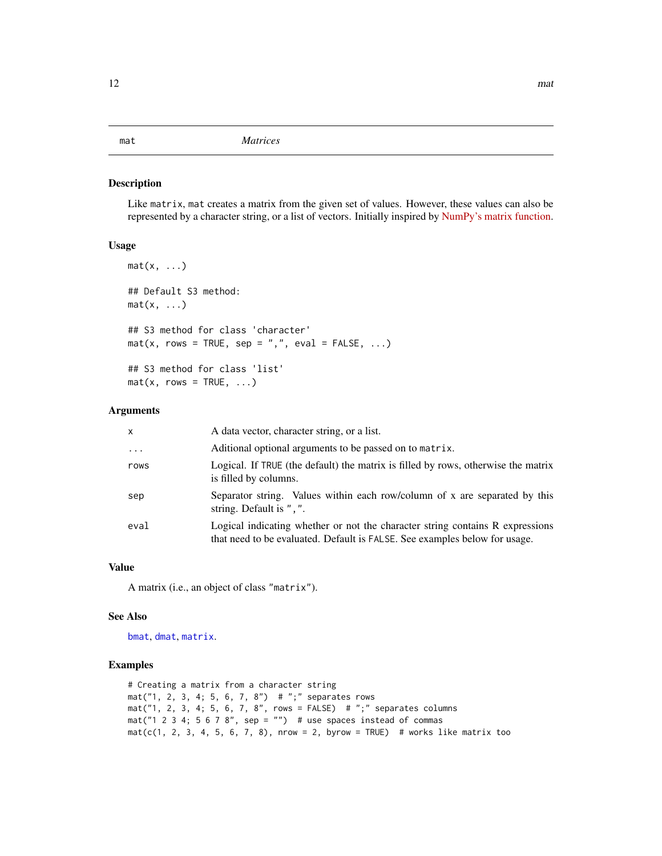#### <span id="page-11-1"></span><span id="page-11-0"></span>mat *Matrices*

# Description

Like matrix, mat creates a matrix from the given set of values. However, these values can also be represented by a character string, or a list of vectors. Initially inspired by [NumPy's matrix function.](http://docs.scipy.org/doc/numpy-1.10.0/reference/generated/numpy.matrix.html)

#### Usage

```
mat(x, \ldots)## Default S3 method:
mat(x, \ldots)## S3 method for class 'character'
mat(x, rows = TRUE, sep = ", ", event, eval = FALSE, ...)## S3 method for class 'list'
mat(x, rows = TRUE, ...)
```
#### Arguments

| $\mathsf{x}$ | A data vector, character string, or a list.                                                                                                                 |
|--------------|-------------------------------------------------------------------------------------------------------------------------------------------------------------|
| $\cdots$     | Aditional optional arguments to be passed on to matrix.                                                                                                     |
| rows         | Logical. If TRUE (the default) the matrix is filled by rows, otherwise the matrix<br>is filled by columns.                                                  |
| sep          | Separator string. Values within each row/column of x are separated by this<br>string. Default is ", ".                                                      |
| eval         | Logical indicating whether or not the character string contains R expressions<br>that need to be evaluated. Default is FALSE. See examples below for usage. |

#### Value

A matrix (i.e., an object of class "matrix").

#### See Also

[bmat](#page-2-1), [dmat](#page-4-1), [matrix](#page-0-0).

```
# Creating a matrix from a character string
mat("1, 2, 3, 4; 5, 6, 7, 8") # ";" separates rows
mat("1, 2, 3, 4; 5, 6, 7, 8", rows = FALSE) # ", " separatelymat("1 2 3 4; 5 6 7 8", sep = "") # use spaces instead of commas
mat(c(1, 2, 3, 4, 5, 6, 7, 8), nrow = 2, byrow = TRUE) # works like matrix too
```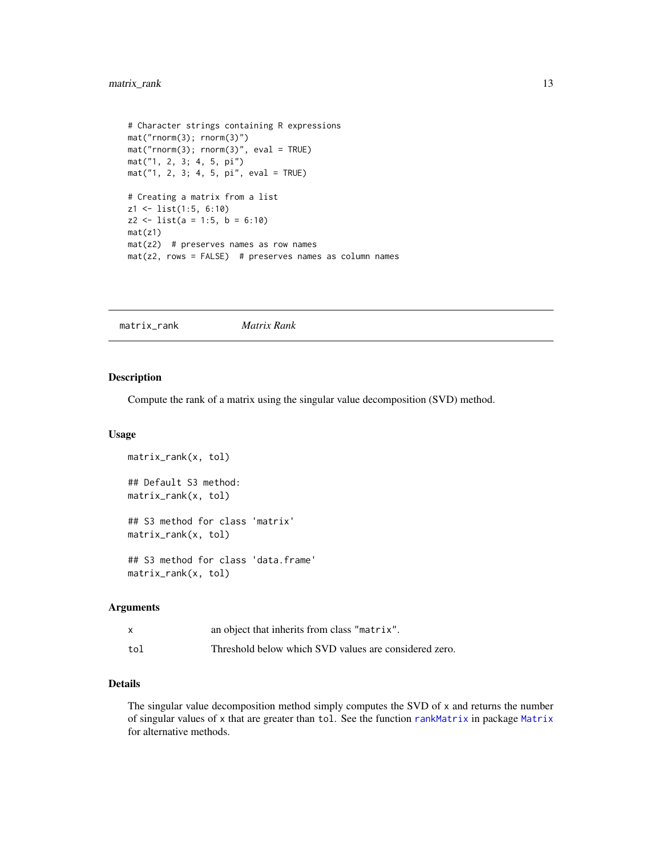# <span id="page-12-0"></span>matrix\_rank 13

```
# Character strings containing R expressions
mat("rnorm(3); rnorm(3)")
mat("rnorm(3); rnorm(3)", eval = TRUE)
mat("1, 2, 3; 4, 5, pi")
mat("1, 2, 3; 4, 5, pi", eval = TRUE)
# Creating a matrix from a list
z1 <- list(1:5, 6:10)
z2 \le - list(a = 1:5, b = 6:10)
mat(z1)
mat(z2) # preserves names as row names
mat(z2, rows = FALSE) # preserves names as column names
```
matrix\_rank *Matrix Rank*

#### Description

Compute the rank of a matrix using the singular value decomposition (SVD) method.

#### Usage

```
matrix_rank(x, tol)
## Default S3 method:
matrix_rank(x, tol)
## S3 method for class 'matrix'
matrix_rank(x, tol)
## S3 method for class 'data.frame'
matrix_rank(x, tol)
```
#### Arguments

|     | an object that inherits from class "matrix".          |
|-----|-------------------------------------------------------|
| tol | Threshold below which SVD values are considered zero. |

# Details

The singular value decomposition method simply computes the SVD of x and returns the number of singular values of x that are greater than tol. See the function [rankMatrix](#page-0-0) in package [Matrix](#page-0-0) for alternative methods.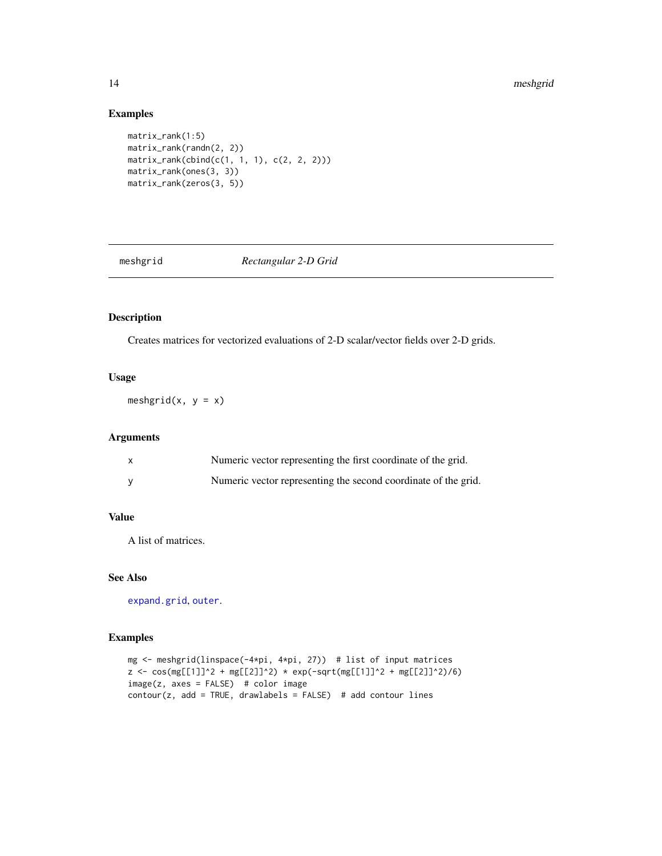# Examples

```
matrix_rank(1:5)
matrix_rank(randn(2, 2))
matrix_rank(cbind(c(1, 1, 1), c(2, 2, 2)))
matrix_rank(ones(3, 3))
matrix_rank(zeros(3, 5))
```
meshgrid *Rectangular 2-D Grid*

#### Description

Creates matrices for vectorized evaluations of 2-D scalar/vector fields over 2-D grids.

#### Usage

meshgrid(x,  $y = x$ )

# Arguments

| X | Numeric vector representing the first coordinate of the grid.  |
|---|----------------------------------------------------------------|
|   | Numeric vector representing the second coordinate of the grid. |

# Value

A list of matrices.

# See Also

[expand.grid](#page-0-0), [outer](#page-0-0).

```
mg <- meshgrid(linspace(-4*pi, 4*pi, 27)) # list of input matrices
z <- cos(mg[[1]]^2 + mg[[2]]^2) * exp(-sqrt(mg[[1]]^2 + mg[[2]]^2)/6)
image(z, axes = FALSE) # color image
contour(z, add = TRUE, drawlabels = FALSE) # add contour lines
```
<span id="page-13-0"></span>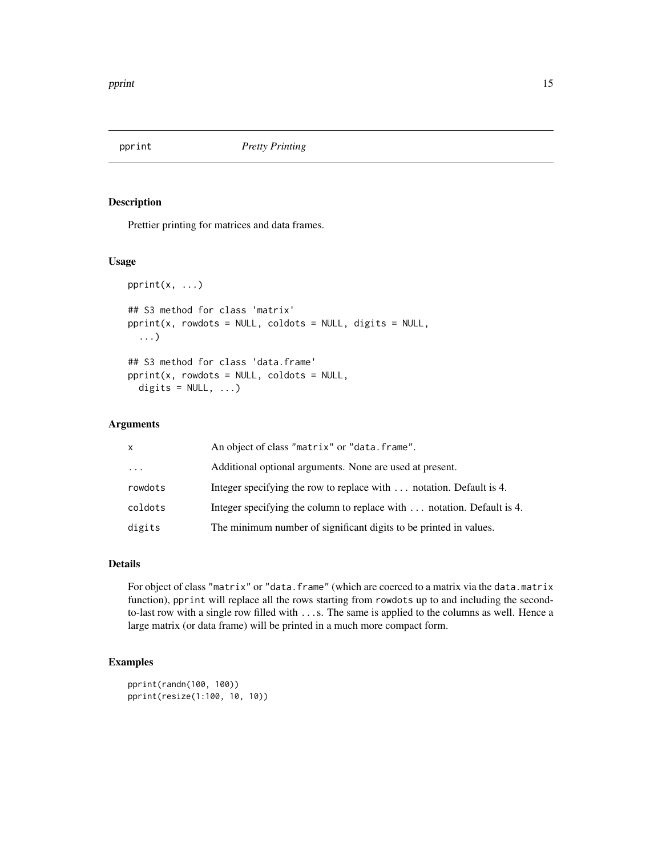<span id="page-14-0"></span>

Prettier printing for matrices and data frames.

#### Usage

```
pprint(x, \ldots)## S3 method for class 'matrix'
pprint(x, rowdots = NULL, coldots = NULL, digits = NULL,
  ...)
## S3 method for class 'data.frame'
pprint(x, rowdots = NULL, coldots = NULL,digits = NULL, ...)
```
#### Arguments

| $\mathsf{x}$ | An object of class "matrix" or "data.frame".                           |
|--------------|------------------------------------------------------------------------|
| $\ddotsc$    | Additional optional arguments. None are used at present.               |
| rowdots      | Integer specifying the row to replace with  notation. Default is 4.    |
| coldots      | Integer specifying the column to replace with  notation. Default is 4. |
| digits       | The minimum number of significant digits to be printed in values.      |
|              |                                                                        |

#### Details

For object of class "matrix" or "data.frame" (which are coerced to a matrix via the data.matrix function), pprint will replace all the rows starting from rowdots up to and including the secondto-last row with a single row filled with ...s. The same is applied to the columns as well. Hence a large matrix (or data frame) will be printed in a much more compact form.

```
pprint(randn(100, 100))
pprint(resize(1:100, 10, 10))
```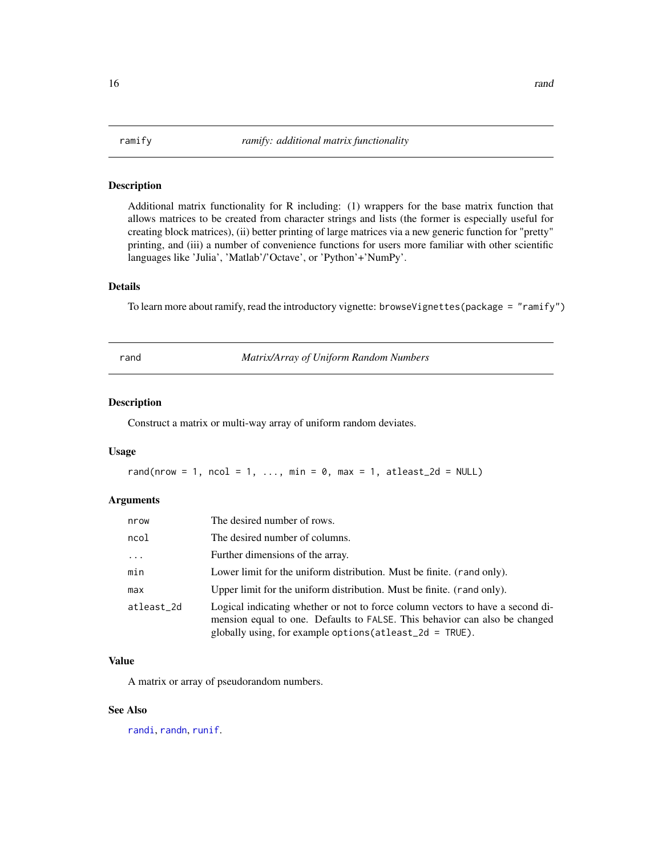<span id="page-15-0"></span>

Additional matrix functionality for R including: (1) wrappers for the base matrix function that allows matrices to be created from character strings and lists (the former is especially useful for creating block matrices), (ii) better printing of large matrices via a new generic function for "pretty" printing, and (iii) a number of convenience functions for users more familiar with other scientific languages like 'Julia', 'Matlab'/'Octave', or 'Python'+'NumPy'.

#### Details

To learn more about ramify, read the introductory vignette: browseVignettes(package = "ramify")

<span id="page-15-1"></span>rand *Matrix/Array of Uniform Random Numbers*

#### Description

Construct a matrix or multi-way array of uniform random deviates.

#### Usage

rand(nrow = 1, ncol = 1, ..., min = 0, max = 1, atleast\_2d = NULL)

#### Arguments

| nrow       | The desired number of rows.                                                                                                                                                                                                  |
|------------|------------------------------------------------------------------------------------------------------------------------------------------------------------------------------------------------------------------------------|
| ncol       | The desired number of columns.                                                                                                                                                                                               |
| $\cdots$   | Further dimensions of the array.                                                                                                                                                                                             |
| min        | Lower limit for the uniform distribution. Must be finite. (rand only).                                                                                                                                                       |
| max        | Upper limit for the uniform distribution. Must be finite. (rand only).                                                                                                                                                       |
| atleast 2d | Logical indicating whether or not to force column vectors to have a second di-<br>mension equal to one. Defaults to FALSE. This behavior can also be changed<br>globally using, for example options (at least $2d = TRUE$ ). |

#### Value

A matrix or array of pseudorandom numbers.

#### See Also

[randi](#page-16-1), [randn](#page-17-1), [runif](#page-0-0).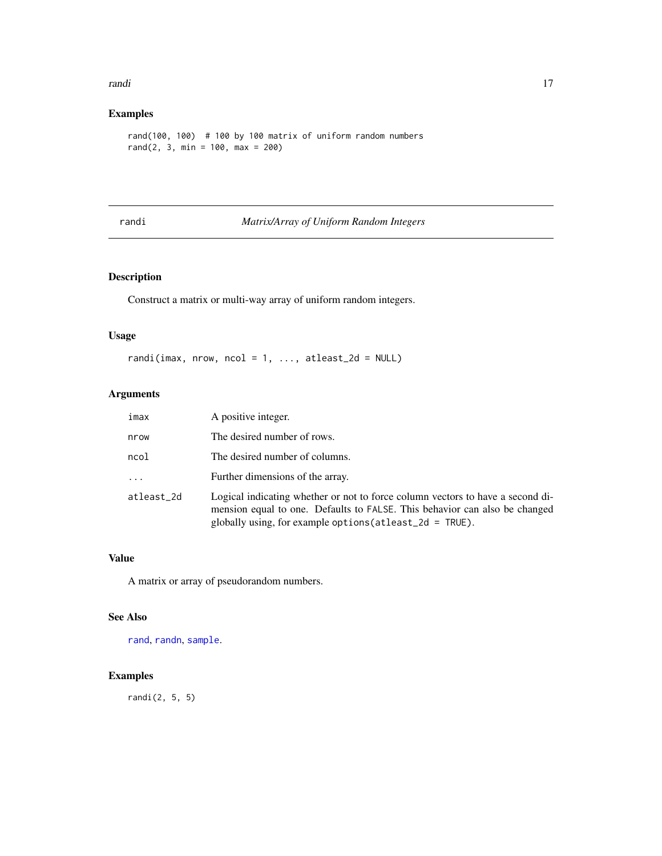#### <span id="page-16-0"></span>randi 17

# Examples

rand(100, 100) # 100 by 100 matrix of uniform random numbers rand(2, 3, min = 100, max = 200)

#### <span id="page-16-1"></span>randi *Matrix/Array of Uniform Random Integers*

# Description

Construct a matrix or multi-way array of uniform random integers.

#### Usage

randi(imax, nrow, ncol = 1, ..., atleast\_2d = NULL)

#### Arguments

| imax       | A positive integer.                                                                                                                                                                                                         |
|------------|-----------------------------------------------------------------------------------------------------------------------------------------------------------------------------------------------------------------------------|
| nrow       | The desired number of rows.                                                                                                                                                                                                 |
| ncol       | The desired number of columns.                                                                                                                                                                                              |
| $\cdots$   | Further dimensions of the array.                                                                                                                                                                                            |
| atleast_2d | Logical indicating whether or not to force column vectors to have a second di-<br>mension equal to one. Defaults to FALSE. This behavior can also be changed<br>globally using, for example options (atleast_2d = $TRUE$ ). |

# Value

A matrix or array of pseudorandom numbers.

#### See Also

[rand](#page-15-1), [randn](#page-17-1), [sample](#page-0-0).

# Examples

randi(2, 5, 5)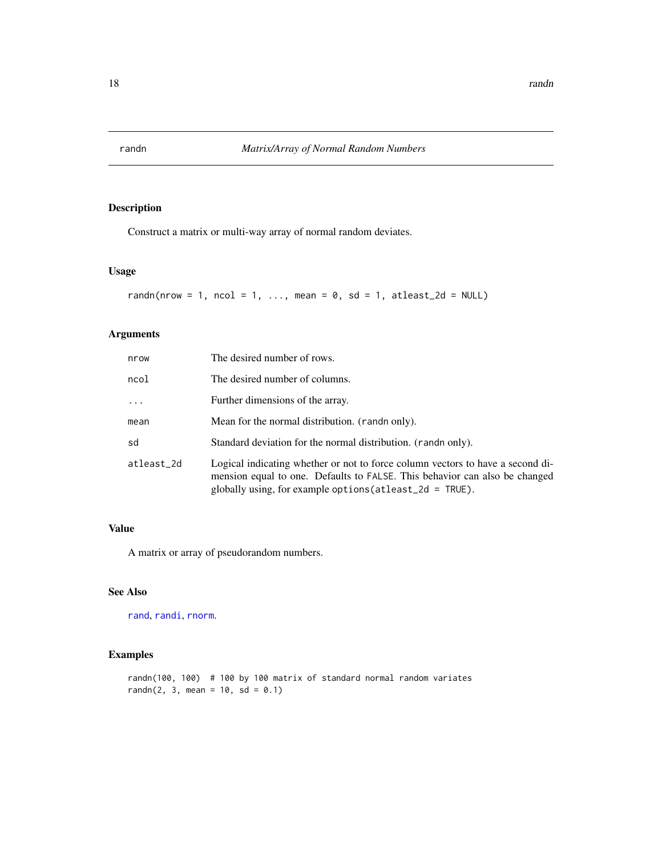<span id="page-17-1"></span><span id="page-17-0"></span>

Construct a matrix or multi-way array of normal random deviates.

# Usage

```
randn(nrow = 1, ncol = 1, ..., mean = 0, sd = 1, atleast_2d = NULL)
```
# Arguments

| nrow       | The desired number of rows.                                                                                                                                                                                                  |
|------------|------------------------------------------------------------------------------------------------------------------------------------------------------------------------------------------------------------------------------|
| ncol       | The desired number of columns.                                                                                                                                                                                               |
| $\ddots$   | Further dimensions of the array.                                                                                                                                                                                             |
| mean       | Mean for the normal distribution. (rand only).                                                                                                                                                                               |
| sd         | Standard deviation for the normal distribution. (rando only).                                                                                                                                                                |
| atleast_2d | Logical indicating whether or not to force column vectors to have a second di-<br>mension equal to one. Defaults to FALSE. This behavior can also be changed<br>globally using, for example options (at least $2d = TRUE$ ). |

#### Value

A matrix or array of pseudorandom numbers.

#### See Also

[rand](#page-15-1), [randi](#page-16-1), [rnorm](#page-0-0).

# Examples

randn(100, 100) # 100 by 100 matrix of standard normal random variates  $randn(2, 3, mean = 10, sd = 0.1)$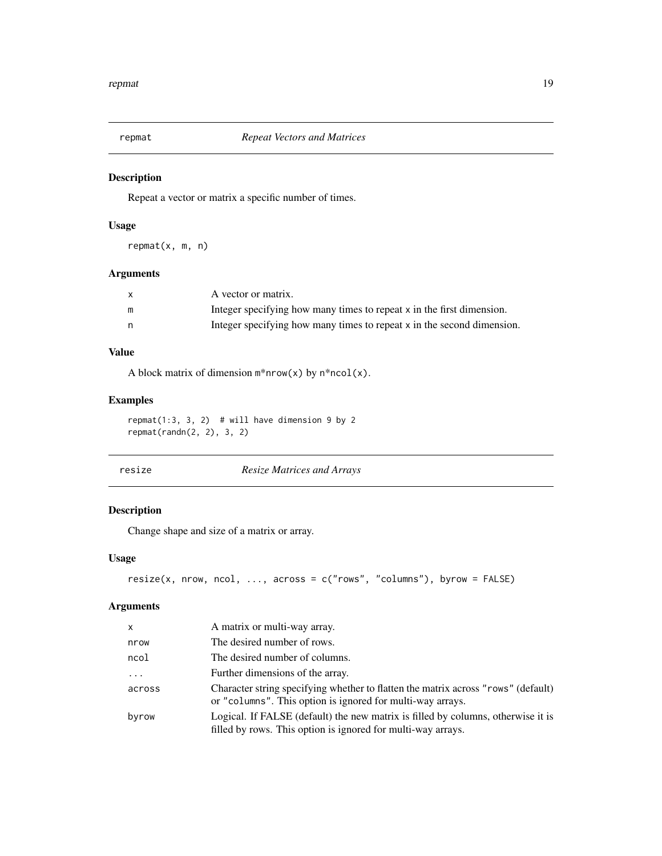<span id="page-18-0"></span>

Repeat a vector or matrix a specific number of times.

# Usage

repmat(x, m, n)

# Arguments

|   | A vector or matrix.                                                    |
|---|------------------------------------------------------------------------|
| m | Integer specifying how many times to repeat x in the first dimension.  |
| n | Integer specifying how many times to repeat x in the second dimension. |

# Value

A block matrix of dimension  $m*nrow(x)$  by  $n*ncol(x)$ .

#### Examples

repmat(1:3, 3, 2) # will have dimension 9 by 2 repmat(randn(2, 2), 3, 2)

| resize | <b>Resize Matrices and Arrays</b> |
|--------|-----------------------------------|
|        |                                   |

# Description

Change shape and size of a matrix or array.

#### Usage

```
resize(x, nrow, ncol, ..., across = c("rows", "columns"), byrow = FALSE)
```

| x        | A matrix or multi-way array.                                                                                                                     |
|----------|--------------------------------------------------------------------------------------------------------------------------------------------------|
| nrow     | The desired number of rows.                                                                                                                      |
| ncol     | The desired number of columns.                                                                                                                   |
| $\cdots$ | Further dimensions of the array.                                                                                                                 |
| across   | Character string specifying whether to flatten the matrix across "rows" (default)<br>or "columns". This option is ignored for multi-way arrays.  |
| byrow    | Logical. If FALSE (default) the new matrix is filled by columns, otherwise it is<br>filled by rows. This option is ignored for multi-way arrays. |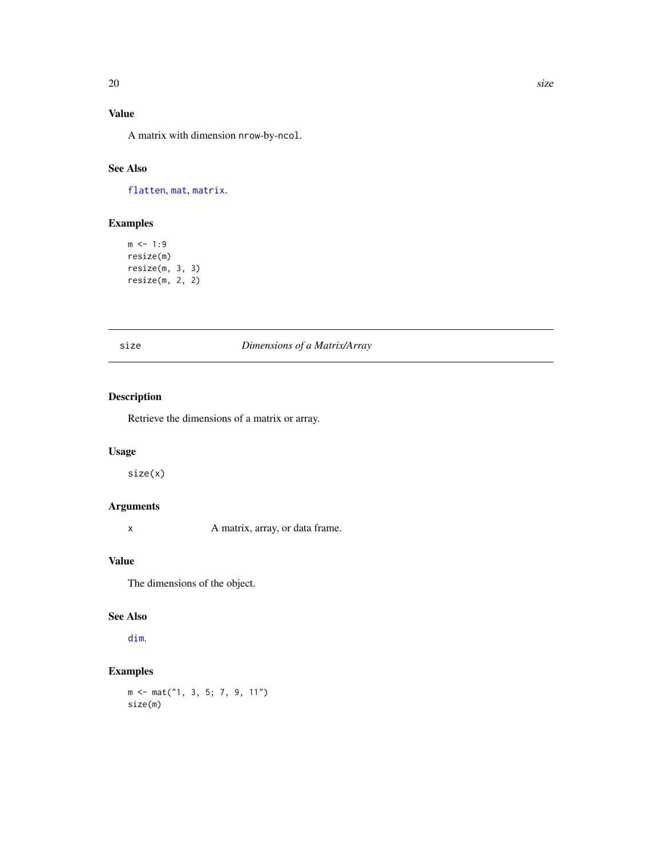# <span id="page-19-0"></span>Value

A matrix with dimension nrow-by-ncol.

# See Also

[flatten](#page-6-1), [mat](#page-11-1), [matrix](#page-0-0).

# Examples

 $m$  <- 1:9 resize(m) resize(m, 3, 3) resize(m, 2, 2)

| I<br>w<br>۰. |  | ×<br>۰. |
|--------------|--|---------|

# size *Dimensions of a Matrix/Array*

# Description

Retrieve the dimensions of a matrix or array.

# Usage

size(x)

# Arguments

x A matrix, array, or data frame.

#### Value

The dimensions of the object.

#### See Also

[dim](#page-0-0).

# Examples

m <- mat("1, 3, 5; 7, 9, 11") size(m)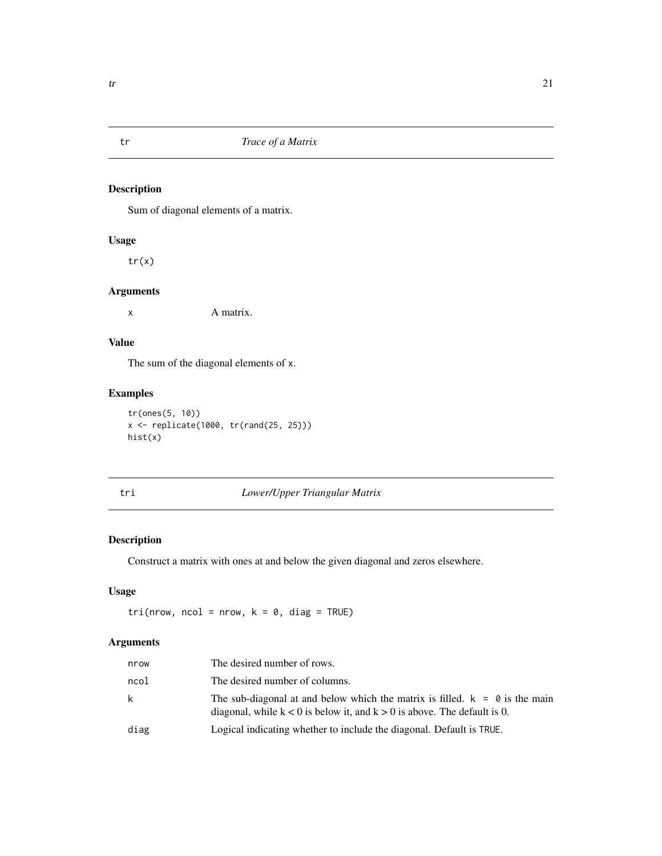<span id="page-20-0"></span>

Sum of diagonal elements of a matrix.

#### Usage

tr(x)

#### Arguments

x A matrix.

# Value

The sum of the diagonal elements of x.

# Examples

```
tr(ones(5, 10))
x <- replicate(1000, tr(rand(25, 25)))
hist(x)
```
# tri *Lower/Upper Triangular Matrix*

# Description

Construct a matrix with ones at and below the given diagonal and zeros elsewhere.

# Usage

 $tri(nrow, ncol = nrow, k = 0, diag = TRUE)$ 

| nrow | The desired number of rows.                                                                                                                                   |
|------|---------------------------------------------------------------------------------------------------------------------------------------------------------------|
| ncol | The desired number of columns.                                                                                                                                |
| k    | The sub-diagonal at and below which the matrix is filled. $k = 0$ is the main<br>diagonal, while $k < 0$ is below it, and $k > 0$ is above. The default is 0. |
| diag | Logical indicating whether to include the diagonal. Default is TRUE.                                                                                          |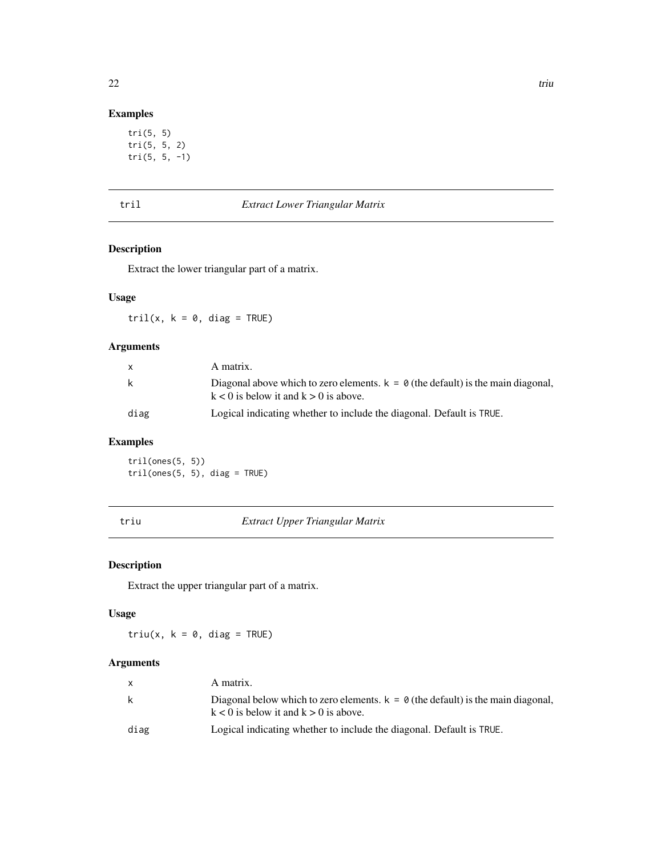# <span id="page-21-0"></span>Examples

```
tri(5, 5)
tri(5, 5, 2)
tri(5, 5, -1)
```

| $\sim$ |  |  |
|--------|--|--|

# **Extract Lower Triangular Matrix**

# Description

Extract the lower triangular part of a matrix.

#### Usage

tril(x,  $k = 0$ , diag = TRUE)

# Arguments

| X    | A matrix.                                                                                                                               |
|------|-----------------------------------------------------------------------------------------------------------------------------------------|
| k    | Diagonal above which to zero elements. $k = \emptyset$ (the default) is the main diagonal,<br>$k < 0$ is below it and $k > 0$ is above. |
| diag | Logical indicating whether to include the diagonal. Default is TRUE.                                                                    |

# Examples

tril(ones(5, 5))  $\text{tril}(\text{ones}(5, 5), \text{diag} = \text{TRUE})$ 

triu *Extract Upper Triangular Matrix*

# Description

Extract the upper triangular part of a matrix.

# Usage

 $triu(x, k = 0, diag = TRUE)$ 

|      | A matrix.                                                                                                                       |
|------|---------------------------------------------------------------------------------------------------------------------------------|
| k    | Diagonal below which to zero elements. $k = 0$ (the default) is the main diagonal,<br>$k < 0$ is below it and $k > 0$ is above. |
| diag | Logical indicating whether to include the diagonal. Default is TRUE.                                                            |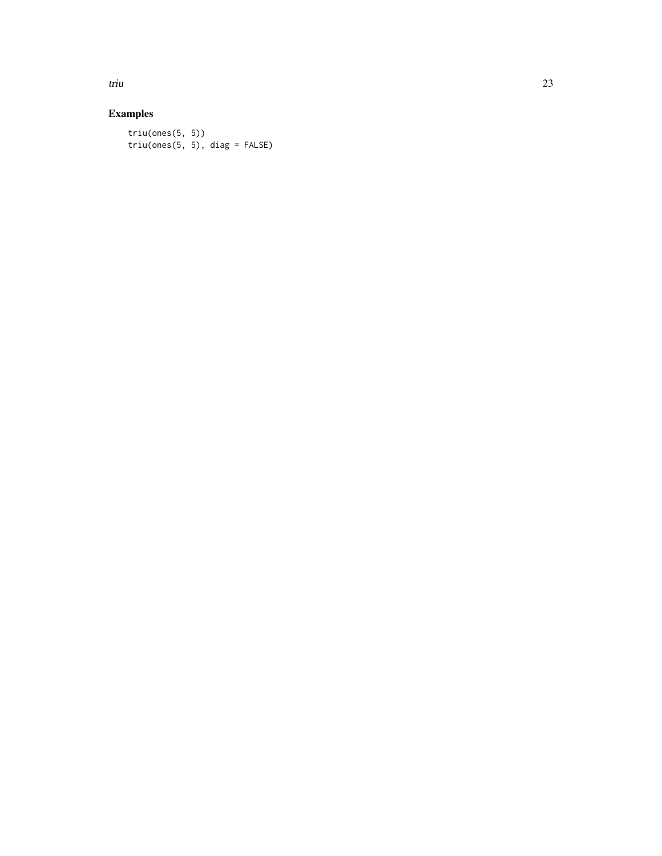triu 23

# Examples

triu(ones(5, 5))  $triu(ones(5, 5), diag = FALSE)$